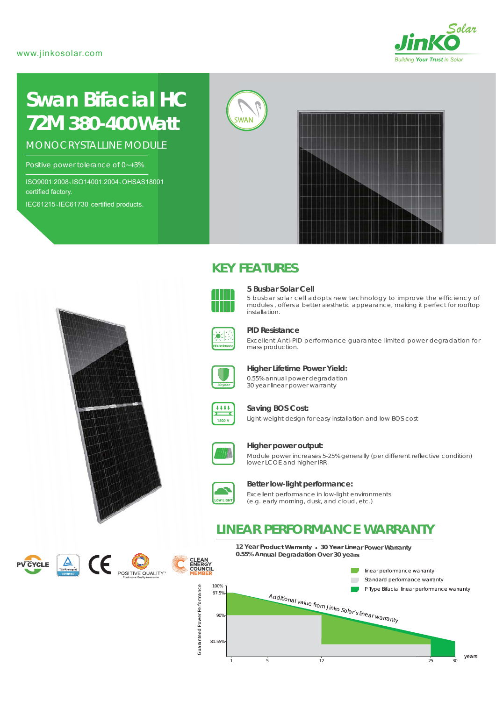#### www.jinkosolar.com



# **Swan Bifacial HC 72M** *380-400 Watt*

MONOCRYSTALLINE MODULE

Positive power tolerance of 0~+3%

ISO9001:2008、ISO14001:2004、OHSAS18001 certified factory. IEC61215、IEC61730 certified products.





## **KEY FEATURES**



#### **5 Busbar Solar Cell**

5 busbar solar cell adopts new technology to improve the efficiency of modules , offers a better aesthetic appearance, making it perfect for rooftop installation.



#### **PID Resistance**

Excellent Anti-PID performance guarantee limited power degradation for mass production.



#### **Higher Lifetime Power Yield:**

0.55% annual power degradation 30 year linear power warranty



**Saving BOS Cost:**

Light-weight design for easy installation and low BOS cost



#### **Higher power output:**

Module power increases 5-25% generally (per different reflective condition) lower LCOE and higher IRR



#### **Better low-light performance:**

Excellent performance in low-light environments (e.g. early morning, dusk, and cloud, etc.)

### **LINEAR PERFORMANCE WARRANTY**